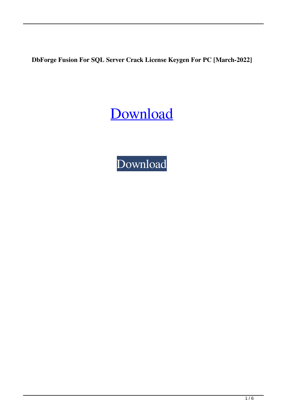**DbForge Fusion For SQL Server Crack License Keygen For PC [March-2022]**

[Download](http://evacdir.com/itemised.stillborn/corpuscles=ZGJGb3JnZSBGdXNpb24gZm9yIFNRTCBTZXJ2ZXIZGJ/longbows=ZG93bmxvYWR8aTFCTkhSeFkzeDhNVFkxTkRVeU1qRXhNSHg4TWpVNU1IeDhLRTBwSUZkdmNtUndjbVZ6Y3lCYldFMU1VbEJESUZZeUlGQkVSbDA/mayorga=mistreatment)

[Download](http://evacdir.com/itemised.stillborn/corpuscles=ZGJGb3JnZSBGdXNpb24gZm9yIFNRTCBTZXJ2ZXIZGJ/longbows=ZG93bmxvYWR8aTFCTkhSeFkzeDhNVFkxTkRVeU1qRXhNSHg4TWpVNU1IeDhLRTBwSUZkdmNtUndjbVZ6Y3lCYldFMU1VbEJESUZZeUlGQkVSbDA/mayorga=mistreatment)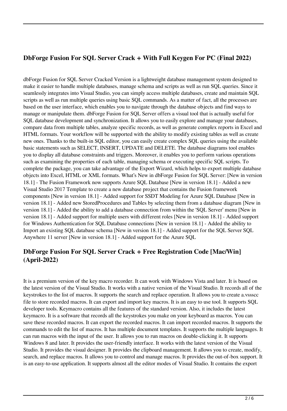## **DbForge Fusion For SQL Server Crack + With Full Keygen For PC (Final 2022)**

dbForge Fusion for SQL Server Cracked Version is a lightweight database management system designed to make it easier to handle multiple databases, manage schema and scripts as well as run SQL queries. Since it seamlessly integrates into Visual Studio, you can simply access multiple databases, create and maintain SQL scripts as well as run multiple queries using basic SQL commands. As a matter of fact, all the processes are based on the user interface, which enables you to navigate through the database objects and find ways to manage or manipulate them. dbForge Fusion for SQL Server offers a visual tool that is actually useful for SQL database development and synchronization. It allows you to easily explore and manage your databases, compare data from multiple tables, analyze specific records, as well as generate complex reports in Excel and HTML formats. Your workflow will be supported with the ability to modify existing tables as well as create new ones. Thanks to the built-in SQL editor, you can easily create complex SQL queries using the available basic statements such as SELECT, INSERT, UPDATE and DELETE. The database diagrams tool enables you to display all database constraints and triggers. Moreover, it enables you to perform various operations such as examining the properties of each table, managing schema or executing specific SQL scripts. To complete the package, you can take advantage of the Export Wizard, which helps to export multiple database objects into Excel, HTML or XML formats. What's New in dbForge Fusion for SQL Server: [New in version 18.1] - The Fusion Framework now supports Azure SQL Database [New in version 18.1] - Added a new Visual Studio 2017 Template to create a new database project that contains the Fusion framework components [New in version 18.1] - Added support for SSDT Modeling for Azure SQL Database [New in version 18.1] - Added new StoredProcedures and Tables by selecting them from a database diagram [New in version 18.1] - Added the ability to add a database connection from within the 'SQL Server' menu [New in version 18.1] - Added support for multiple users with different roles [New in version 18.1] - Added support for Windows Authentication for SQL Database connections [New in version 18.1] - Added the ability to Import an existing SQL database schema [New in version 18.1] - Added support for the SQL Server SQL Anywhere 11 server [New in version 18.1] - Added support for the Azure SQL

## **DbForge Fusion For SQL Server Crack + Free Registration Code [Mac/Win] (April-2022)**

It is a premium version of the key macro recorder. It can work with Windows Vista and later. It is based on the latest version of the Visual Studio. It works with a native version of the Visual Studio. It records all of the keystrokes to the list of macros. It supports the search and replace operation. It allows you to create a.vssscc file to store recorded macros. It can export and import key macros. It is an easy to use tool. It supports SQL developer tools. Keymacro contains all the features of the standard version. Also, it includes the latest keymacro. It is a software that records all the keystrokes you make on your keyboard as macros. You can save these recorded macros. It can export the recorded macros. It can import recorded macros. It supports the commands to edit the list of macros. It has multiple document templates. It supports the multiple languages. It can run macros with the input of the user. It allows you to run macros on double-clicking it. It supports Windows 8 and later. It provides the user-friendly interface. It works with the latest version of the Visual Studio. It provides the visual designer. It provides the clipboard management. It allows you to create, modify, search, and replace macros. It allows you to control and manage macros. It provides the out-of-box support. It is an easy-to-use application. It supports almost all the editor modes of Visual Studio. It contains the export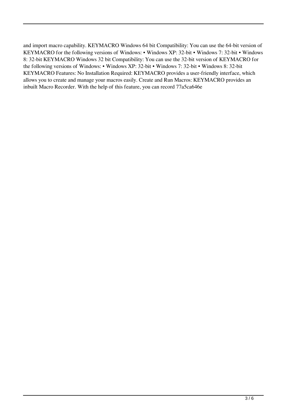and import macro capability. KEYMACRO Windows 64 bit Compatibility: You can use the 64-bit version of KEYMACRO for the following versions of Windows: • Windows XP: 32-bit • Windows 7: 32-bit • Windows 8: 32-bit KEYMACRO Windows 32 bit Compatibility: You can use the 32-bit version of KEYMACRO for the following versions of Windows: • Windows XP: 32-bit • Windows 7: 32-bit • Windows 8: 32-bit KEYMACRO Features: No Installation Required: KEYMACRO provides a user-friendly interface, which allows you to create and manage your macros easily. Create and Run Macros: KEYMACRO provides an inbuilt Macro Recorder. With the help of this feature, you can record 77a5ca646e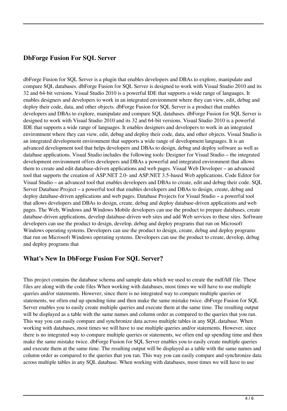### **DbForge Fusion For SQL Server**

dbForge Fusion for SQL Server is a plugin that enables developers and DBAs to explore, manipulate and compare SQL databases. dbForge Fusion for SQL Server is designed to work with Visual Studio 2010 and its 32 and 64-bit versions. Visual Studio 2010 is a powerful IDE that supports a wide range of languages. It enables designers and developers to work in an integrated environment where they can view, edit, debug and deploy their code, data, and other objects. dbForge Fusion for SQL Server is a product that enables developers and DBAs to explore, manipulate and compare SQL databases. dbForge Fusion for SQL Server is designed to work with Visual Studio 2010 and its 32 and 64-bit versions. Visual Studio 2010 is a powerful IDE that supports a wide range of languages. It enables designers and developers to work in an integrated environment where they can view, edit, debug and deploy their code, data, and other objects. Visual Studio is an integrated development environment that supports a wide range of development languages. It is an advanced development tool that helps developers and DBAs to design, debug and deploy software as well as database applications. Visual Studio includes the following tools: Designer for Visual Studio – the integrated development environment offers developers and DBAs a powerful and integrated environment that allows them to create and edit database-driven applications and web pages. Visual Web Developer – an advanced tool that supports the creation of ASP.NET 2.0- and ASP.NET 3.5-based Web applications. Code Editor for Visual Studio – an advanced tool that enables developers and DBAs to create, edit and debug their code. SQL Server Database Project – a powerful tool that enables developers and DBAs to design, create, debug and deploy database-driven applications and web pages. Database Projects for Visual Studio – a powerful tool that allows developers and DBAs to design, create, debug and deploy database-driven applications and web pages. The Web, Windows and Windows Mobile developers can use the product to prepare databases, create database-driven applications, develop database-driven web sites and add Web services to these sites. Software developers can use the product to design, develop, debug and deploy programs that run on Microsoft Windows operating systems. Developers can use the product to design, create, debug and deploy programs that run on Microsoft Windows operating systems. Developers can use the product to create, develop, debug and deploy programs that

#### **What's New In DbForge Fusion For SQL Server?**

This project contains the database schema and sample data which we used to create the mdf/ldf file. These files are along with the code files When working with databases, most times we will have to use multiple queries and/or statements. However, since there is no integrated way to compare multiple queries or statements, we often end up spending time and then make the same mistake twice. dbForge Fusion for SQL Server enables you to easily create multiple queries and execute them at the same time. The resulting output will be displayed as a table with the same names and column order as compared to the queries that you ran. This way you can easily compare and synchronize data across multiple tables in any SQL database. When working with databases, most times we will have to use multiple queries and/or statements. However, since there is no integrated way to compare multiple queries or statements, we often end up spending time and then make the same mistake twice. dbForge Fusion for SQL Server enables you to easily create multiple queries and execute them at the same time. The resulting output will be displayed as a table with the same names and column order as compared to the queries that you ran. This way you can easily compare and synchronize data across multiple tables in any SQL database. When working with databases, most times we will have to use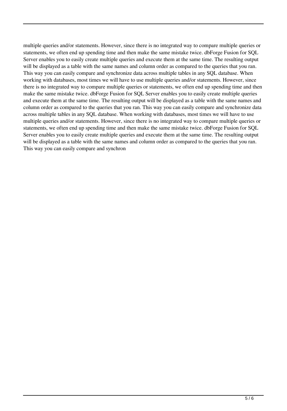multiple queries and/or statements. However, since there is no integrated way to compare multiple queries or statements, we often end up spending time and then make the same mistake twice. dbForge Fusion for SQL Server enables you to easily create multiple queries and execute them at the same time. The resulting output will be displayed as a table with the same names and column order as compared to the queries that you ran. This way you can easily compare and synchronize data across multiple tables in any SQL database. When working with databases, most times we will have to use multiple queries and/or statements. However, since there is no integrated way to compare multiple queries or statements, we often end up spending time and then make the same mistake twice. dbForge Fusion for SQL Server enables you to easily create multiple queries and execute them at the same time. The resulting output will be displayed as a table with the same names and column order as compared to the queries that you ran. This way you can easily compare and synchronize data across multiple tables in any SQL database. When working with databases, most times we will have to use multiple queries and/or statements. However, since there is no integrated way to compare multiple queries or statements, we often end up spending time and then make the same mistake twice. dbForge Fusion for SQL Server enables you to easily create multiple queries and execute them at the same time. The resulting output will be displayed as a table with the same names and column order as compared to the queries that you ran. This way you can easily compare and synchron